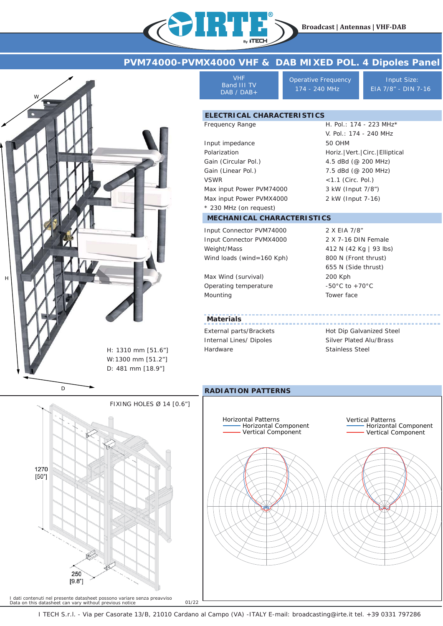H. Pol.: 174 - 223 MHz\* V. Pol.: 174 - 240 MHz

Horiz.|Vert.|Circ.|Elliptical 4.5 dBd (@ 200 MHz) 7.5 dBd (@ 200 MHz) <1.1 (Circ. Pol.) 3 kW (Input 7/8") 2 kW (Input 7-16)

# **PVM74000-PVMX4000 VHF & DAB MIXED POL. 4 Dipoles Panel**



VHF Band III TV DAB / DAB+

TVE

Frequency Range

Operative Frequency **Input Size:** 174 - 240 MHz EIA 7/8" - DIN 7-16

50 OHM

### **ELECTRICAL CHARACTERISTICS**

Input impedance Polarization Gain (Circular Pol.) Gain (Linear Pol.) VSWR Max input Power PVM74000 Max input Power PVMX4000 \* 230 MHz (on request)

#### **MECHANICAL CHARACTERISTICS**

Input Connector PVM74000 Input Connector PVMX4000 Weight/Mass Wind loads (wind=160 Kph)

Max Wind (survival) Operating temperature Mounting

**Materials** External parts/Brackets Internal Lines/ Dipoles

Hardware

2 X EIA 7/8" 2 X 7-16 DIN Female 412 N (42 Kg | 93 lbs) 800 N (Front thrust) 655 N (Side thrust) 200 Kph -50°C to +70°C Tower face

Hot Dip Galvanized Steel Silver Plated Alu/Brass Stainless Steel

#### **RADIATION PATTERNS**





I TECH S.r.l. - Via per Casorate 13/B, 21010 Cardano al Campo (VA) -ITALY E-mail: broadcasting@irte.it tel. +39 0331 797286